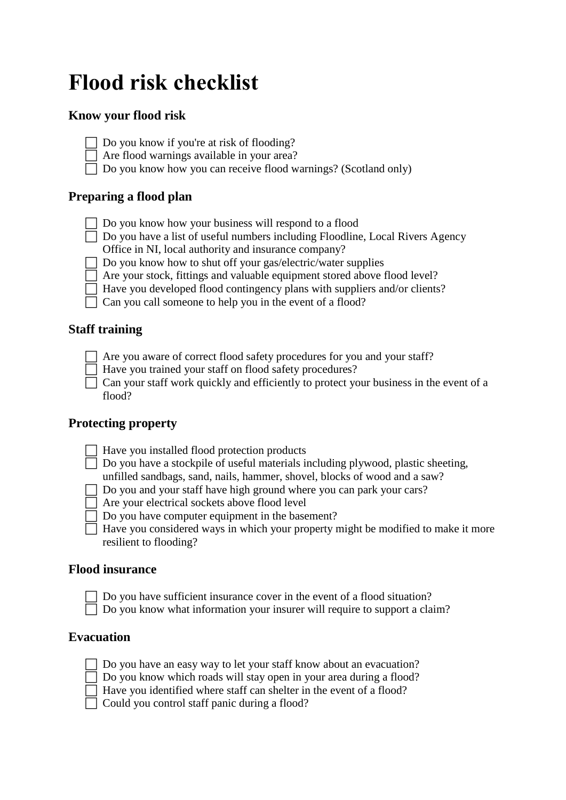# **Flood risk checklist**

### **Know your flood risk**

- $\Box$  Do you know if you're at risk of flooding?
- $\Box$  Are flood warnings available in your area?
- $\Box$  Do you know how you can receive flood warnings? (Scotland only)

#### **Preparing a flood plan**

- $\Box$  Do you know how your business will respond to a flood
- $\Box$  Do you have a list of useful numbers including Floodline, Local Rivers Agency Office in NI, local authority and insurance company?
- $\Box$  Do you know how to shut off your gas/electric/water supplies
- $\Box$  Are your stock, fittings and valuable equipment stored above flood level?
- $\Box$  Have you developed flood contingency plans with suppliers and/or clients?
- $\Box$  Can you call someone to help you in the event of a flood?

#### **Staff training**

- $\Box$  Are you aware of correct flood safety procedures for you and your staff?
	- Have you trained your staff on flood safety procedures?

 $\Box$  Can your staff work quickly and efficiently to protect your business in the event of a flood?

#### **Protecting property**

- $\Box$  Have you installed flood protection products
- $\Box$  Do you have a stockpile of useful materials including plywood, plastic sheeting, unfilled sandbags, sand, nails, hammer, shovel, blocks of wood and a saw?
- $\Box$  Do you and your staff have high ground where you can park your cars?
- Are your electrical sockets above flood level
- $\Box$  Do you have computer equipment in the basement?
- $\Box$  Have you considered ways in which your property might be modified to make it more resilient to flooding?

#### **Flood insurance**

- Do you have sufficient insurance cover in the event of a flood situation?
- $\Box$  Do you know what information your insurer will require to support a claim?

#### **Evacuation**

- $\Box$  Do you have an easy way to let your staff know about an evacuation?
- $\Box$  Do you know which roads will stay open in your area during a flood?
- Have you identified where staff can shelter in the event of a flood?
- $\Box$  Could you control staff panic during a flood?